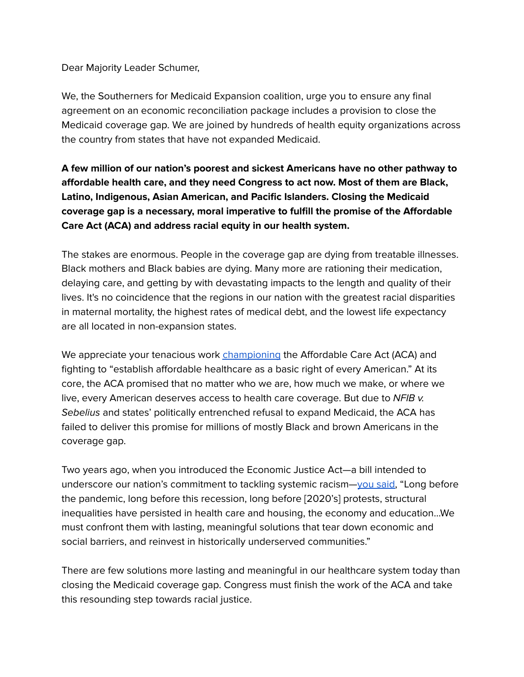Dear Majority Leader Schumer,

We, the Southerners for Medicaid Expansion coalition, urge you to ensure any final agreement on an economic reconciliation package includes a provision to close the Medicaid coverage gap. We are joined by hundreds of health equity organizations across the country from states that have not expanded Medicaid.

**A few million of our nation's poorest and sickest Americans have no other pathway to affordable health care, and they need Congress to act now. Most of them are Black, Latino, Indigenous, Asian American, and Pacific Islanders. Closing the Medicaid coverage gap is a necessary, moral imperative to fulfill the promise of the Affordable Care Act (ACA) and address racial equity in our health system.**

The stakes are enormous. People in the coverage gap are dying from treatable illnesses. Black mothers and Black babies are dying. Many more are rationing their medication, delaying care, and getting by with devastating impacts to the length and quality of their lives. It's no coincidence that the regions in our nation with the greatest racial disparities in maternal mortality, the highest rates of medical debt, and the lowest life expectancy are all located in non-expansion states.

We appreciate your tenacious work *[championing](https://www.congress.gov/congressional-record/2021/6/17/senate-section/article/s4599-7)* the Affordable Care Act (ACA) and fighting to "establish affordable healthcare as a basic right of every American." At its core, the ACA promised that no matter who we are, how much we make, or where we live, every American deserves access to health care coverage. But due to NFIB v. Sebelius and states' politically entrenched refusal to expand Medicaid, the ACA has failed to deliver this promise for millions of mostly Black and brown Americans in the coverage gap.

Two years ago, when you introduced the Economic Justice Act—a bill intended to underscore our nation's commitment to tackling systemic racism—you [said,](https://www.democrats.senate.gov/newsroom/press-releases/leader-schumer-senate-democrats-announce-historic-proposal-for-350-billion-investment-in-communities-of-color) "Long before the pandemic, long before this recession, long before [2020's] protests, structural inequalities have persisted in health care and housing, the economy and education…We must confront them with lasting, meaningful solutions that tear down economic and social barriers, and reinvest in historically underserved communities."

There are few solutions more lasting and meaningful in our healthcare system today than closing the Medicaid coverage gap. Congress must finish the work of the ACA and take this resounding step towards racial justice.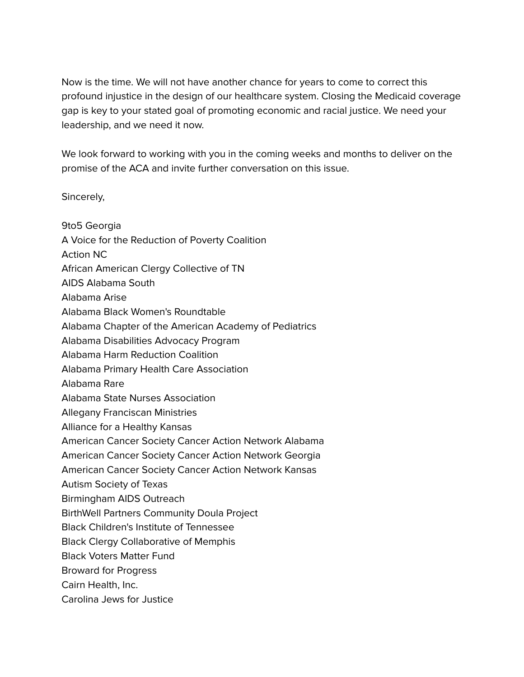Now is the time. We will not have another chance for years to come to correct this profound injustice in the design of our healthcare system. Closing the Medicaid coverage gap is key to your stated goal of promoting economic and racial justice. We need your leadership, and we need it now.

We look forward to working with you in the coming weeks and months to deliver on the promise of the ACA and invite further conversation on this issue.

Sincerely,

9to5 Georgia A Voice for the Reduction of Poverty Coalition Action NC African American Clergy Collective of TN AIDS Alabama South Alabama Arise Alabama Black Women's Roundtable Alabama Chapter of the American Academy of Pediatrics Alabama Disabilities Advocacy Program Alabama Harm Reduction Coalition Alabama Primary Health Care Association Alabama Rare Alabama State Nurses Association Allegany Franciscan Ministries Alliance for a Healthy Kansas American Cancer Society Cancer Action Network Alabama American Cancer Society Cancer Action Network Georgia American Cancer Society Cancer Action Network Kansas Autism Society of Texas Birmingham AIDS Outreach BirthWell Partners Community Doula Project Black Children's Institute of Tennessee Black Clergy Collaborative of Memphis Black Voters Matter Fund Broward for Progress Cairn Health, Inc. Carolina Jews for Justice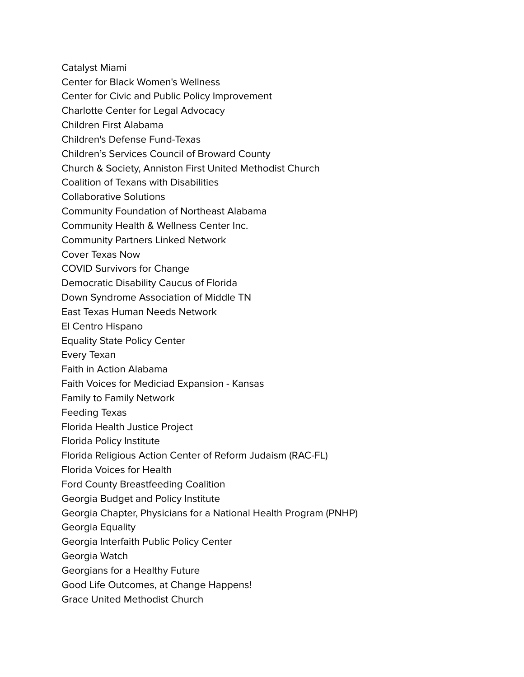Catalyst Miami

- Center for Black Women's Wellness
- Center for Civic and Public Policy Improvement
- Charlotte Center for Legal Advocacy
- Children First Alabama
- Children's Defense Fund-Texas
- Children's Services Council of Broward County
- Church & Society, Anniston First United Methodist Church
- Coalition of Texans with Disabilities
- Collaborative Solutions
- Community Foundation of Northeast Alabama
- Community Health & Wellness Center Inc.
- Community Partners Linked Network
- Cover Texas Now
- COVID Survivors for Change
- Democratic Disability Caucus of Florida
- Down Syndrome Association of Middle TN
- East Texas Human Needs Network
- El Centro Hispano
- Equality State Policy Center
- Every Texan
- Faith in Action Alabama
- Faith Voices for Mediciad Expansion Kansas
- Family to Family Network
- Feeding Texas
- Florida Health Justice Project
- Florida Policy Institute
- Florida Religious Action Center of Reform Judaism (RAC-FL)
- Florida Voices for Health
- Ford County Breastfeeding Coalition
- Georgia Budget and Policy Institute
- Georgia Chapter, Physicians for a National Health Program (PNHP)
- Georgia Equality
- Georgia Interfaith Public Policy Center
- Georgia Watch
- Georgians for a Healthy Future
- Good Life Outcomes, at Change Happens!
- Grace United Methodist Church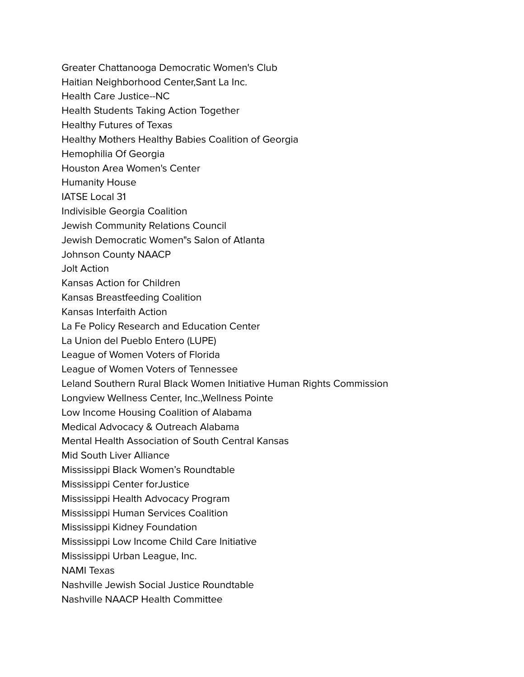- Greater Chattanooga Democratic Women's Club
- Haitian Neighborhood Center,Sant La Inc.
- Health Care Justice--NC
- Health Students Taking Action Together
- Healthy Futures of Texas
- Healthy Mothers Healthy Babies Coalition of Georgia
- Hemophilia Of Georgia
- Houston Area Women's Center
- Humanity House
- IATSE Local 31
- Indivisible Georgia Coalition
- Jewish Community Relations Council
- Jewish Democratic Women"s Salon of Atlanta
- Johnson County NAACP
- Jolt Action
- Kansas Action for Children
- Kansas Breastfeeding Coalition
- Kansas Interfaith Action
- La Fe Policy Research and Education Center
- La Union del Pueblo Entero (LUPE)
- League of Women Voters of Florida
- League of Women Voters of Tennessee
- Leland Southern Rural Black Women Initiative Human Rights Commission
- Longview Wellness Center, Inc.,Wellness Pointe
- Low Income Housing Coalition of Alabama
- Medical Advocacy & Outreach Alabama
- Mental Health Association of South Central Kansas
- Mid South Liver Alliance
- Mississippi Black Women's Roundtable
- Mississippi Center forJustice
- Mississippi Health Advocacy Program
- Mississippi Human Services Coalition
- Mississippi Kidney Foundation
- Mississippi Low Income Child Care Initiative
- Mississippi Urban League, Inc.
- NAMI Texas
- Nashville Jewish Social Justice Roundtable
- Nashville NAACP Health Committee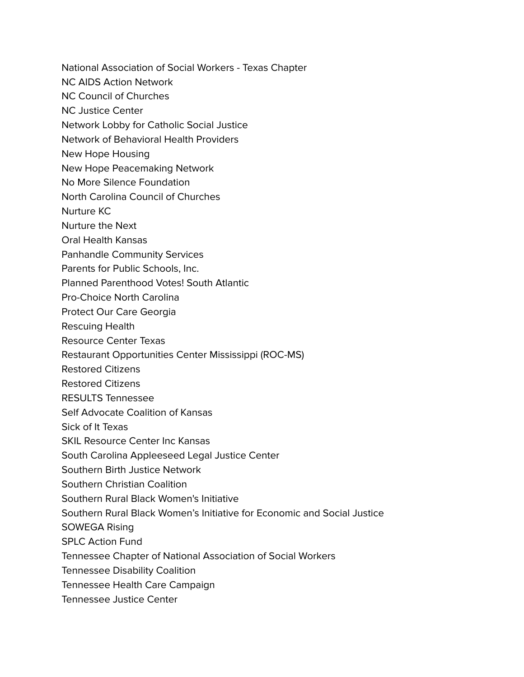- National Association of Social Workers Texas Chapter
- NC AIDS Action Network
- NC Council of Churches
- NC Justice Center
- Network Lobby for Catholic Social Justice
- Network of Behavioral Health Providers
- New Hope Housing
- New Hope Peacemaking Network
- No More Silence Foundation
- North Carolina Council of Churches
- Nurture KC
- Nurture the Next
- Oral Health Kansas
- Panhandle Community Services
- Parents for Public Schools, Inc.
- Planned Parenthood Votes! South Atlantic
- Pro-Choice North Carolina
- Protect Our Care Georgia
- Rescuing Health
- Resource Center Texas
- Restaurant Opportunities Center Mississippi (ROC-MS)
- Restored Citizens
- Restored Citizens
- RESULTS Tennessee
- Self Advocate Coalition of Kansas
- Sick of It Texas
- SKIL Resource Center Inc Kansas
- South Carolina Appleeseed Legal Justice Center
- Southern Birth Justice Network
- Southern Christian Coalition
- Southern Rural Black Women's Initiative
- Southern Rural Black Women's Initiative for Economic and Social Justice
- SOWEGA Rising
- SPLC Action Fund
- Tennessee Chapter of National Association of Social Workers
- Tennessee Disability Coalition
- Tennessee Health Care Campaign
- Tennessee Justice Center